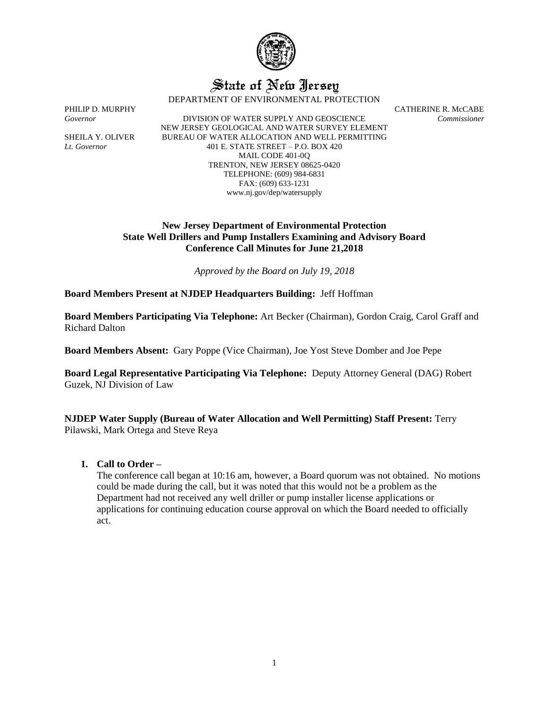

# State of New Jersey

DEPARTMENT OF ENVIRONMENTAL PROTECTION

*Governor* DIVISION OF WATER SUPPLY AND GEOSCIENCE *Commissioner* NEW JERSEY GEOLOGICAL AND WATER SURVEY ELEMENT SHEILA Y. OLIVER BUREAU OF WATER ALLOCATION AND WELL PERMITTING *Lt. Governor* 401 E. STATE STREET – P.O. BOX 420 MAIL CODE 401-0Q TRENTON, NEW JERSEY 08625-0420 TELEPHONE: (609) 984-6831 FAX: (609) 633-1231 www.nj.gov/dep/watersupply

PHILIP D. MURPHY CATHERINE R. McCABE

## **New Jersey Department of Environmental Protection State Well Drillers and Pump Installers Examining and Advisory Board Conference Call Minutes for June 21,2018**

*Approved by the Board on July 19, 2018*

**Board Members Present at NJDEP Headquarters Building:** Jeff Hoffman

**Board Members Participating Via Telephone:** Art Becker (Chairman), Gordon Craig, Carol Graff and Richard Dalton

**Board Members Absent:** Gary Poppe (Vice Chairman), Joe Yost Steve Domber and Joe Pepe

**Board Legal Representative Participating Via Telephone:** Deputy Attorney General (DAG) Robert Guzek, NJ Division of Law

**NJDEP Water Supply (Bureau of Water Allocation and Well Permitting) Staff Present:** Terry Pilawski, Mark Ortega and Steve Reya

## **1. Call to Order –**

The conference call began at 10:16 am, however, a Board quorum was not obtained. No motions could be made during the call, but it was noted that this would not be a problem as the Department had not received any well driller or pump installer license applications or applications for continuing education course approval on which the Board needed to officially act.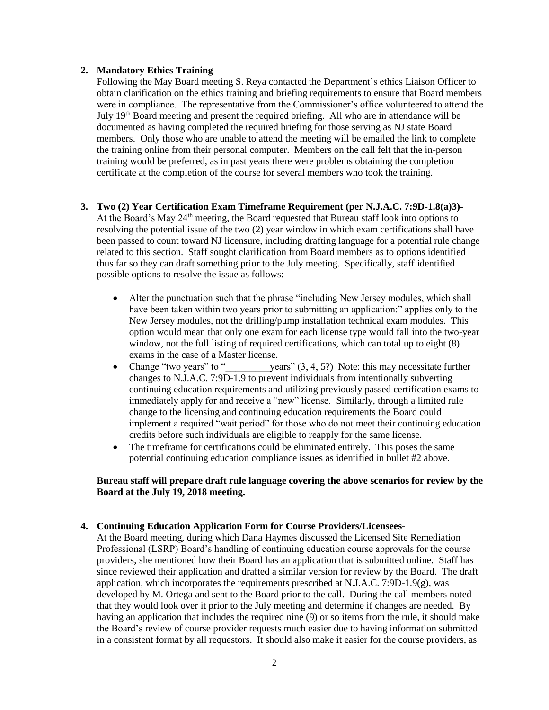#### **2. Mandatory Ethics Training–**

Following the May Board meeting S. Reya contacted the Department's ethics Liaison Officer to obtain clarification on the ethics training and briefing requirements to ensure that Board members were in compliance. The representative from the Commissioner's office volunteered to attend the July 19<sup>th</sup> Board meeting and present the required briefing. All who are in attendance will be documented as having completed the required briefing for those serving as NJ state Board members. Only those who are unable to attend the meeting will be emailed the link to complete the training online from their personal computer. Members on the call felt that the in-person training would be preferred, as in past years there were problems obtaining the completion certificate at the completion of the course for several members who took the training.

### **3. Two (2) Year Certification Exam Timeframe Requirement (per N.J.A.C. 7:9D-1.8(a)3)-**

At the Board's May 24<sup>th</sup> meeting, the Board requested that Bureau staff look into options to resolving the potential issue of the two (2) year window in which exam certifications shall have been passed to count toward NJ licensure, including drafting language for a potential rule change related to this section. Staff sought clarification from Board members as to options identified thus far so they can draft something prior to the July meeting. Specifically, staff identified possible options to resolve the issue as follows:

- Alter the punctuation such that the phrase "including New Jersey modules, which shall have been taken within two years prior to submitting an application:" applies only to the New Jersey modules, not the drilling/pump installation technical exam modules. This option would mean that only one exam for each license type would fall into the two-year window, not the full listing of required certifications, which can total up to eight  $(8)$ exams in the case of a Master license.
- Change "two years" to " $\text{years}$ " (3, 4, 5?) Note: this may necessitate further changes to N.J.A.C. 7:9D-1.9 to prevent individuals from intentionally subverting continuing education requirements and utilizing previously passed certification exams to immediately apply for and receive a "new" license. Similarly, through a limited rule change to the licensing and continuing education requirements the Board could implement a required "wait period" for those who do not meet their continuing education credits before such individuals are eligible to reapply for the same license.
- The timeframe for certifications could be eliminated entirely. This poses the same potential continuing education compliance issues as identified in bullet #2 above.

# **Bureau staff will prepare draft rule language covering the above scenarios for review by the Board at the July 19, 2018 meeting.**

# **4. Continuing Education Application Form for Course Providers/Licensees-**

At the Board meeting, during which Dana Haymes discussed the Licensed Site Remediation Professional (LSRP) Board's handling of continuing education course approvals for the course providers, she mentioned how their Board has an application that is submitted online. Staff has since reviewed their application and drafted a similar version for review by the Board. The draft application, which incorporates the requirements prescribed at N.J.A.C. 7:9D-1.9(g), was developed by M. Ortega and sent to the Board prior to the call. During the call members noted that they would look over it prior to the July meeting and determine if changes are needed. By having an application that includes the required nine (9) or so items from the rule, it should make the Board's review of course provider requests much easier due to having information submitted in a consistent format by all requestors. It should also make it easier for the course providers, as